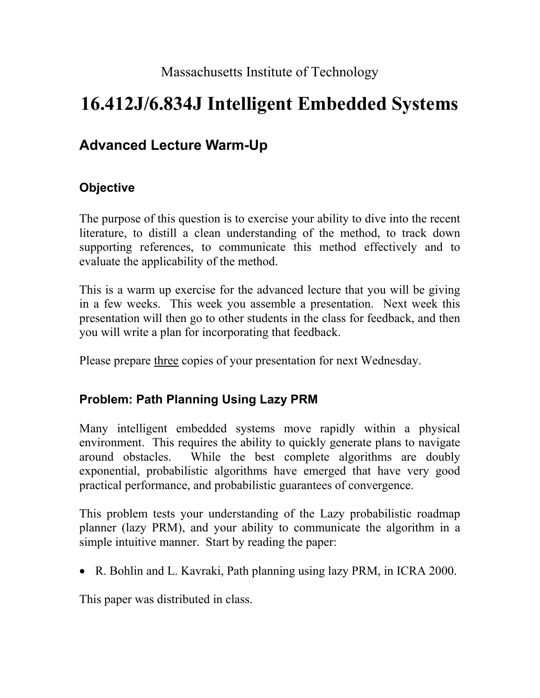Massachusetts Institute of Technology

## **16.412J/6.834J Intelligent Embedded Systems**

## **Advanced Lecture Warm-Up**

## **Objective**

The purpose of this question is to exercise your ability to dive into the recent literature, to distill a clean understanding of the method, to track down supporting references, to communicate this method effectively and to evaluate the applicability of the method.

This is a warm up exercise for the advanced lecture that you will be giving in a few weeks. This week you assemble a presentation. Next week this presentation will then go to other students in the class for feedback, and then you will write a plan for incorporating that feedback.

Please prepare three copies of your presentation for next Wednesday.

## **Problem: Path Planning Using Lazy PRM**

Many intelligent embedded systems move rapidly within a physical environment. This requires the ability to quickly generate plans to navigate around obstacles. While the best complete algorithms are doubly exponential, probabilistic algorithms have emerged that have very good practical performance, and probabilistic guarantees of convergence.

This problem tests your understanding of the Lazy probabilistic roadmap planner (lazy PRM), and your ability to communicate the algorithm in a simple intuitive manner. Start by reading the paper:

• R. Bohlin and L. Kavraki, Path planning using lazy PRM, in ICRA 2000.

This paper was distributed in class.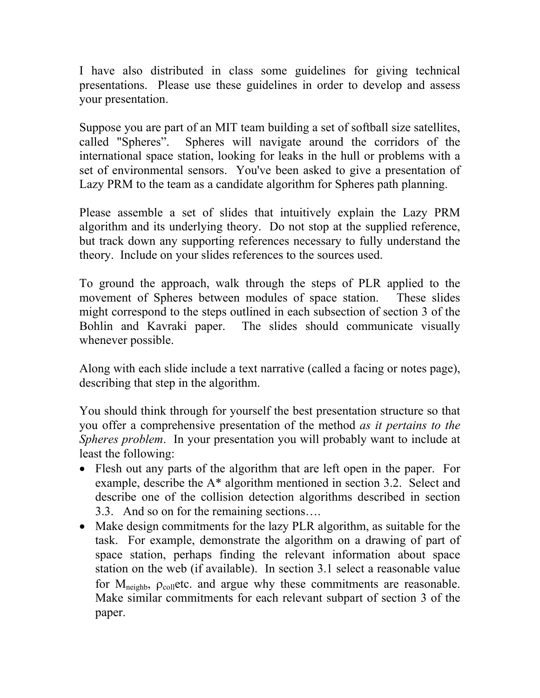I have also distributed in class some guidelines for giving technical presentations. Please use these guidelines in order to develop and assess your presentation.

Suppose you are part of an MIT team building a set of softball size satellites, called "Spheres". Spheres will navigate around the corridors of the international space station, looking for leaks in the hull or problems with a set of environmental sensors. You've been asked to give a presentation of Lazy PRM to the team as a candidate algorithm for Spheres path planning.

Please assemble a set of slides that intuitively explain the Lazy PRM algorithm and its underlying theory. Do not stop at the supplied reference, but track down any supporting references necessary to fully understand the theory. Include on your slides references to the sources used.

To ground the approach, walk through the steps of PLR applied to the movement of Spheres between modules of space station. These slides might correspond to the steps outlined in each subsection of section 3 of the Bohlin and Kavraki paper. The slides should communicate visually whenever possible.

Along with each slide include a text narrative (called a facing or notes page), describing that step in the algorithm.

You should think through for yourself the best presentation structure so that you offer a comprehensive presentation of the method *as it pertains to the Spheres problem*. In your presentation you will probably want to include at least the following:

- Flesh out any parts of the algorithm that are left open in the paper. For example, describe the A\* algorithm mentioned in section 3.2. Select and describe one of the collision detection algorithms described in section 3.3. And so on for the remaining sections….
- Make design commitments for the lazy PLR algorithm, as suitable for the task. For example, demonstrate the algorithm on a drawing of part of space station, perhaps finding the relevant information about space station on the web (if available). In section 3.1 select a reasonable value for  $M_{neighb}$ ,  $\rho_{coll}$ etc. and argue why these commitments are reasonable. Make similar commitments for each relevant subpart of section 3 of the paper.